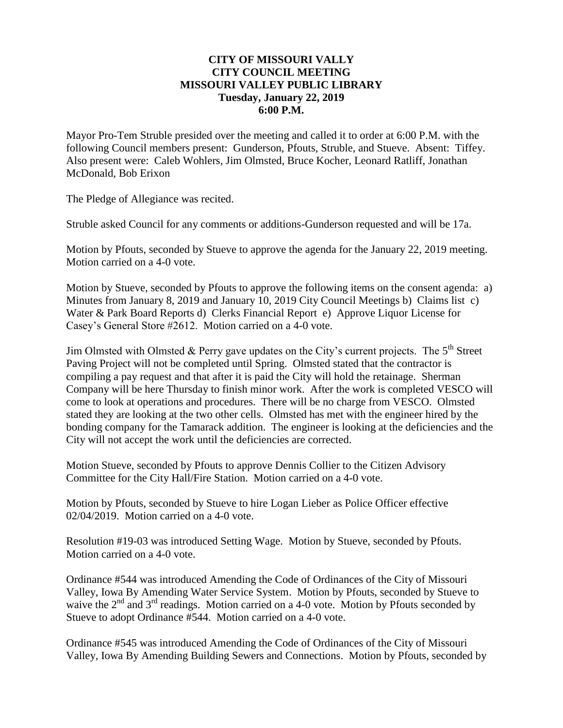#### **CITY OF MISSOURI VALLY CITY COUNCIL MEETING MISSOURI VALLEY PUBLIC LIBRARY Tuesday, January 22, 2019 6:00 P.M.**

Mayor Pro-Tem Struble presided over the meeting and called it to order at 6:00 P.M. with the following Council members present: Gunderson, Pfouts, Struble, and Stueve. Absent: Tiffey. Also present were: Caleb Wohlers, Jim Olmsted, Bruce Kocher, Leonard Ratliff, Jonathan McDonald, Bob Erixon

The Pledge of Allegiance was recited.

Struble asked Council for any comments or additions-Gunderson requested and will be 17a.

Motion by Pfouts, seconded by Stueve to approve the agenda for the January 22, 2019 meeting. Motion carried on a 4-0 vote.

Motion by Stueve, seconded by Pfouts to approve the following items on the consent agenda: a) Minutes from January 8, 2019 and January 10, 2019 City Council Meetings b) Claims list c) Water & Park Board Reports d) Clerks Financial Report e) Approve Liquor License for Casey's General Store #2612. Motion carried on a 4-0 vote.

Jim Olmsted with Olmsted & Perry gave updates on the City's current projects. The  $5<sup>th</sup>$  Street Paving Project will not be completed until Spring. Olmsted stated that the contractor is compiling a pay request and that after it is paid the City will hold the retainage. Sherman Company will be here Thursday to finish minor work. After the work is completed VESCO will come to look at operations and procedures. There will be no charge from VESCO. Olmsted stated they are looking at the two other cells. Olmsted has met with the engineer hired by the bonding company for the Tamarack addition. The engineer is looking at the deficiencies and the City will not accept the work until the deficiencies are corrected.

Motion Stueve, seconded by Pfouts to approve Dennis Collier to the Citizen Advisory Committee for the City Hall/Fire Station. Motion carried on a 4-0 vote.

Motion by Pfouts, seconded by Stueve to hire Logan Lieber as Police Officer effective 02/04/2019. Motion carried on a 4-0 vote.

Resolution #19-03 was introduced Setting Wage. Motion by Stueve, seconded by Pfouts. Motion carried on a 4-0 vote.

Ordinance #544 was introduced Amending the Code of Ordinances of the City of Missouri Valley, Iowa By Amending Water Service System. Motion by Pfouts, seconded by Stueve to waive the 2<sup>nd</sup> and 3<sup>rd</sup> readings. Motion carried on a 4-0 vote. Motion by Pfouts seconded by Stueve to adopt Ordinance #544. Motion carried on a 4-0 vote.

Ordinance #545 was introduced Amending the Code of Ordinances of the City of Missouri Valley, Iowa By Amending Building Sewers and Connections. Motion by Pfouts, seconded by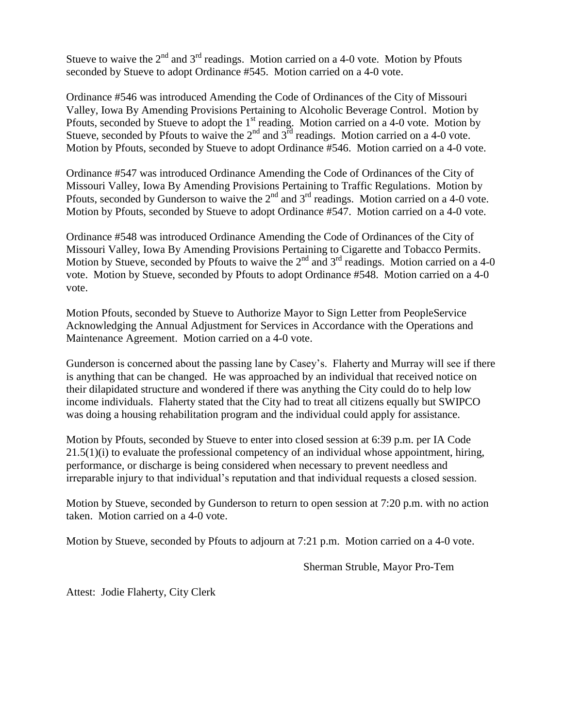Stueve to waive the  $2<sup>nd</sup>$  and  $3<sup>rd</sup>$  readings. Motion carried on a 4-0 vote. Motion by Pfouts seconded by Stueve to adopt Ordinance #545. Motion carried on a 4-0 vote.

Ordinance #546 was introduced Amending the Code of Ordinances of the City of Missouri Valley, Iowa By Amending Provisions Pertaining to Alcoholic Beverage Control. Motion by Pfouts, seconded by Stueve to adopt the 1<sup>st</sup> reading. Motion carried on a 4-0 vote. Motion by Stueve, seconded by Pfouts to waive the  $2<sup>nd</sup>$  and  $3<sup>rd</sup>$  readings. Motion carried on a 4-0 vote. Motion by Pfouts, seconded by Stueve to adopt Ordinance #546. Motion carried on a 4-0 vote.

Ordinance #547 was introduced Ordinance Amending the Code of Ordinances of the City of Missouri Valley, Iowa By Amending Provisions Pertaining to Traffic Regulations. Motion by Pfouts, seconded by Gunderson to waive the  $2<sup>nd</sup>$  and  $3<sup>rd</sup>$  readings. Motion carried on a 4-0 vote. Motion by Pfouts, seconded by Stueve to adopt Ordinance #547. Motion carried on a 4-0 vote.

Ordinance #548 was introduced Ordinance Amending the Code of Ordinances of the City of Missouri Valley, Iowa By Amending Provisions Pertaining to Cigarette and Tobacco Permits. Motion by Stueve, seconded by Pfouts to waive the  $2<sup>nd</sup>$  and  $3<sup>rd</sup>$  readings. Motion carried on a 4-0 vote. Motion by Stueve, seconded by Pfouts to adopt Ordinance #548. Motion carried on a 4-0 vote.

Motion Pfouts, seconded by Stueve to Authorize Mayor to Sign Letter from PeopleService Acknowledging the Annual Adjustment for Services in Accordance with the Operations and Maintenance Agreement. Motion carried on a 4-0 vote.

Gunderson is concerned about the passing lane by Casey's. Flaherty and Murray will see if there is anything that can be changed. He was approached by an individual that received notice on their dilapidated structure and wondered if there was anything the City could do to help low income individuals. Flaherty stated that the City had to treat all citizens equally but SWIPCO was doing a housing rehabilitation program and the individual could apply for assistance.

Motion by Pfouts, seconded by Stueve to enter into closed session at 6:39 p.m. per IA Code  $21.5(1)(i)$  to evaluate the professional competency of an individual whose appointment, hiring, performance, or discharge is being considered when necessary to prevent needless and irreparable injury to that individual's reputation and that individual requests a closed session.

Motion by Stueve, seconded by Gunderson to return to open session at 7:20 p.m. with no action taken. Motion carried on a 4-0 vote.

Motion by Stueve, seconded by Pfouts to adjourn at 7:21 p.m. Motion carried on a 4-0 vote.

Sherman Struble, Mayor Pro-Tem

Attest: Jodie Flaherty, City Clerk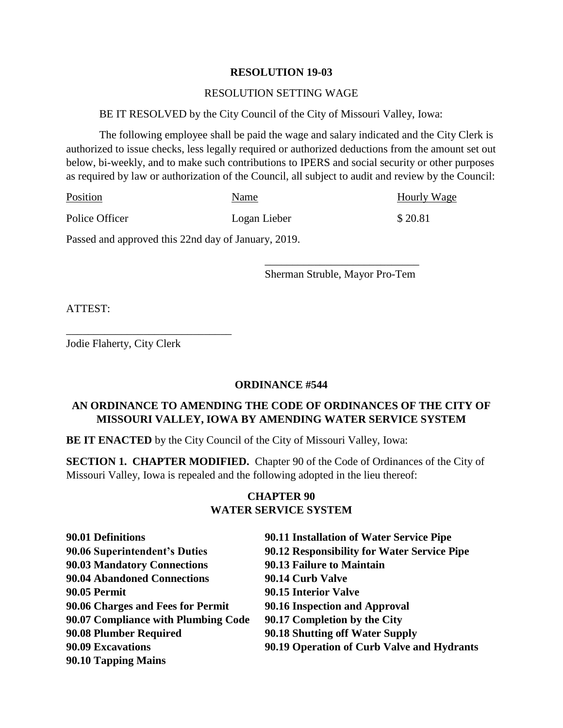#### **RESOLUTION 19-03**

#### RESOLUTION SETTING WAGE

#### BE IT RESOLVED by the City Council of the City of Missouri Valley, Iowa:

The following employee shall be paid the wage and salary indicated and the City Clerk is authorized to issue checks, less legally required or authorized deductions from the amount set out below, bi-weekly, and to make such contributions to IPERS and social security or other purposes as required by law or authorization of the Council, all subject to audit and review by the Council:

| Position                                            | Name         | <b>Hourly Wage</b> |
|-----------------------------------------------------|--------------|--------------------|
| Police Officer                                      | Logan Lieber | \$20.81            |
| Passed and approved this 22nd day of January, 2019. |              |                    |

\_\_\_\_\_\_\_\_\_\_\_\_\_\_\_\_\_\_\_\_\_\_\_\_\_\_\_\_ Sherman Struble, Mayor Pro-Tem

ATTEST:

Jodie Flaherty, City Clerk

\_\_\_\_\_\_\_\_\_\_\_\_\_\_\_\_\_\_\_\_\_\_\_\_\_\_\_\_\_\_

#### **ORDINANCE #544**

#### **AN ORDINANCE TO AMENDING THE CODE OF ORDINANCES OF THE CITY OF MISSOURI VALLEY, IOWA BY AMENDING WATER SERVICE SYSTEM**

**BE IT ENACTED** by the City Council of the City of Missouri Valley, Iowa:

**SECTION 1. CHAPTER MODIFIED.** Chapter 90 of the Code of Ordinances of the City of Missouri Valley, Iowa is repealed and the following adopted in the lieu thereof:

## **CHAPTER 90 WATER SERVICE SYSTEM**

| 90.01 Definitions                   | 90.11 Installation of Water Service Pipe    |
|-------------------------------------|---------------------------------------------|
| 90.06 Superintendent's Duties       | 90.12 Responsibility for Water Service Pipe |
| <b>90.03 Mandatory Connections</b>  | 90.13 Failure to Maintain                   |
| <b>90.04 Abandoned Connections</b>  | 90.14 Curb Valve                            |
| <b>90.05 Permit</b>                 | 90.15 Interior Valve                        |
| 90.06 Charges and Fees for Permit   | 90.16 Inspection and Approval               |
| 90.07 Compliance with Plumbing Code | 90.17 Completion by the City                |
| 90.08 Plumber Required              | 90.18 Shutting off Water Supply             |
| <b>90.09 Excavations</b>            | 90.19 Operation of Curb Valve and Hydrants  |
| 90.10 Tapping Mains                 |                                             |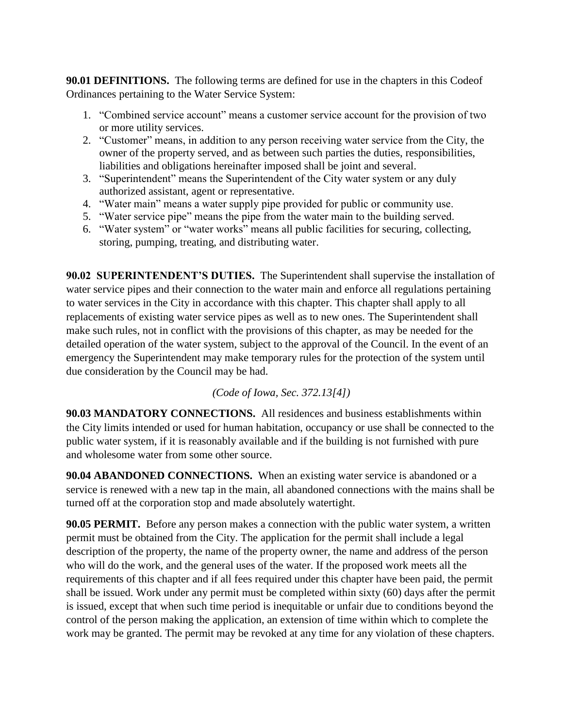**90.01 DEFINITIONS.** The following terms are defined for use in the chapters in this Codeof Ordinances pertaining to the Water Service System:

- 1. "Combined service account" means a customer service account for the provision of two or more utility services.
- 2. "Customer" means, in addition to any person receiving water service from the City, the owner of the property served, and as between such parties the duties, responsibilities, liabilities and obligations hereinafter imposed shall be joint and several.
- 3. "Superintendent" means the Superintendent of the City water system or any duly authorized assistant, agent or representative.
- 4. "Water main" means a water supply pipe provided for public or community use.
- 5. "Water service pipe" means the pipe from the water main to the building served.
- 6. "Water system" or "water works" means all public facilities for securing, collecting, storing, pumping, treating, and distributing water.

**90.02 SUPERINTENDENT'S DUTIES.** The Superintendent shall supervise the installation of water service pipes and their connection to the water main and enforce all regulations pertaining to water services in the City in accordance with this chapter. This chapter shall apply to all replacements of existing water service pipes as well as to new ones. The Superintendent shall make such rules, not in conflict with the provisions of this chapter, as may be needed for the detailed operation of the water system, subject to the approval of the Council. In the event of an emergency the Superintendent may make temporary rules for the protection of the system until due consideration by the Council may be had.

*(Code of Iowa, Sec. 372.13[4])*

**90.03 MANDATORY CONNECTIONS.** All residences and business establishments within the City limits intended or used for human habitation, occupancy or use shall be connected to the public water system, if it is reasonably available and if the building is not furnished with pure and wholesome water from some other source.

**90.04 ABANDONED CONNECTIONS.** When an existing water service is abandoned or a service is renewed with a new tap in the main, all abandoned connections with the mains shall be turned off at the corporation stop and made absolutely watertight.

**90.05 PERMIT.** Before any person makes a connection with the public water system, a written permit must be obtained from the City. The application for the permit shall include a legal description of the property, the name of the property owner, the name and address of the person who will do the work, and the general uses of the water. If the proposed work meets all the requirements of this chapter and if all fees required under this chapter have been paid, the permit shall be issued. Work under any permit must be completed within sixty (60) days after the permit is issued, except that when such time period is inequitable or unfair due to conditions beyond the control of the person making the application, an extension of time within which to complete the work may be granted. The permit may be revoked at any time for any violation of these chapters.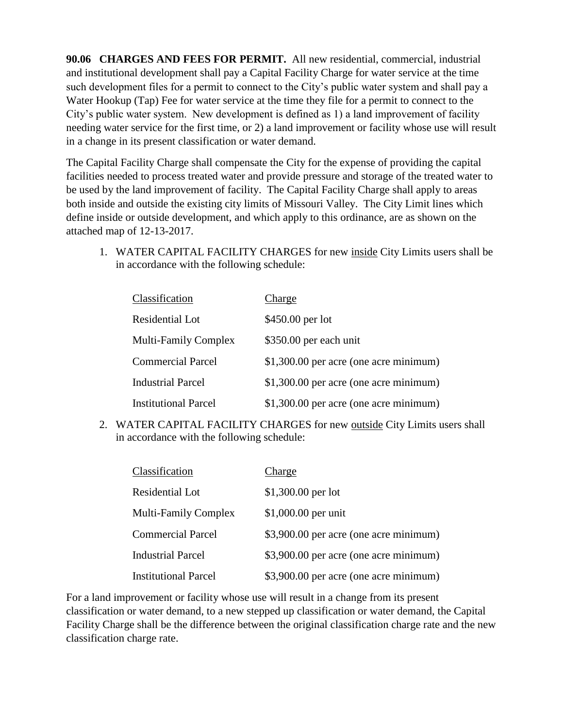**90.06 CHARGES AND FEES FOR PERMIT.** All new residential, commercial, industrial and institutional development shall pay a Capital Facility Charge for water service at the time such development files for a permit to connect to the City's public water system and shall pay a Water Hookup (Tap) Fee for water service at the time they file for a permit to connect to the City's public water system. New development is defined as 1) a land improvement of facility needing water service for the first time, or 2) a land improvement or facility whose use will result in a change in its present classification or water demand.

The Capital Facility Charge shall compensate the City for the expense of providing the capital facilities needed to process treated water and provide pressure and storage of the treated water to be used by the land improvement of facility. The Capital Facility Charge shall apply to areas both inside and outside the existing city limits of Missouri Valley. The City Limit lines which define inside or outside development, and which apply to this ordinance, are as shown on the attached map of 12-13-2017.

1. WATER CAPITAL FACILITY CHARGES for new inside City Limits users shall be in accordance with the following schedule:

| Classification              | Charge                                 |
|-----------------------------|----------------------------------------|
| Residential Lot             | \$450.00 per lot                       |
| <b>Multi-Family Complex</b> | \$350.00 per each unit                 |
| <b>Commercial Parcel</b>    | \$1,300.00 per acre (one acre minimum) |
| <b>Industrial Parcel</b>    | \$1,300.00 per acre (one acre minimum) |
| <b>Institutional Parcel</b> | \$1,300.00 per acre (one acre minimum) |

2. WATER CAPITAL FACILITY CHARGES for new outside City Limits users shall in accordance with the following schedule:

| Classification              | Charge                                 |
|-----------------------------|----------------------------------------|
| Residential Lot             | $$1,300.00$ per lot                    |
| <b>Multi-Family Complex</b> | \$1,000.00 per unit                    |
| <b>Commercial Parcel</b>    | \$3,900.00 per acre (one acre minimum) |
| <b>Industrial Parcel</b>    | \$3,900.00 per acre (one acre minimum) |
| <b>Institutional Parcel</b> | \$3,900.00 per acre (one acre minimum) |

For a land improvement or facility whose use will result in a change from its present classification or water demand, to a new stepped up classification or water demand, the Capital Facility Charge shall be the difference between the original classification charge rate and the new classification charge rate.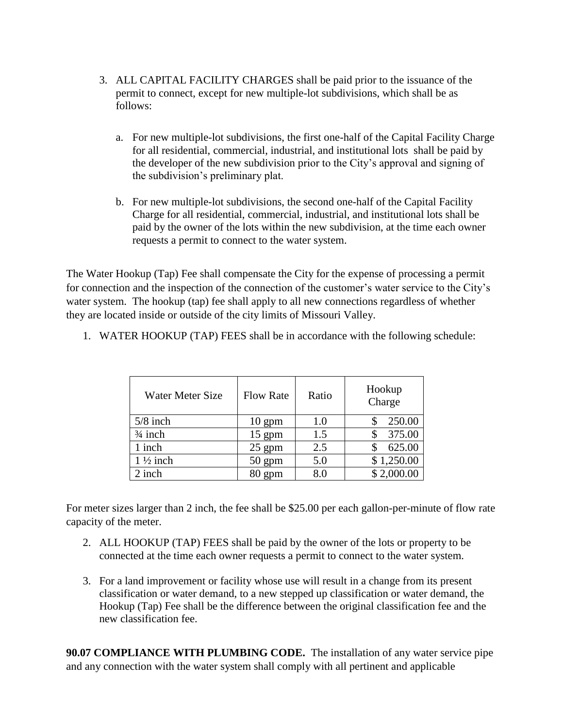- 3. ALL CAPITAL FACILITY CHARGES shall be paid prior to the issuance of the permit to connect, except for new multiple-lot subdivisions, which shall be as follows:
	- a. For new multiple-lot subdivisions, the first one-half of the Capital Facility Charge for all residential, commercial, industrial, and institutional lots shall be paid by the developer of the new subdivision prior to the City's approval and signing of the subdivision's preliminary plat.
	- b. For new multiple-lot subdivisions, the second one-half of the Capital Facility Charge for all residential, commercial, industrial, and institutional lots shall be paid by the owner of the lots within the new subdivision, at the time each owner requests a permit to connect to the water system.

The Water Hookup (Tap) Fee shall compensate the City for the expense of processing a permit for connection and the inspection of the connection of the customer's water service to the City's water system. The hookup (tap) fee shall apply to all new connections regardless of whether they are located inside or outside of the city limits of Missouri Valley.

| Water Meter Size    | <b>Flow Rate</b> | Ratio | Hookup<br>Charge |
|---------------------|------------------|-------|------------------|
| $5/8$ inch          | $10 \text{ gpm}$ | 1.0   | 250.00           |
| $\frac{3}{4}$ inch  | $15$ gpm         | 1.5   | 375.00           |
| 1 inch              | $25$ gpm         | 2.5   | 625.00           |
| $1\frac{1}{2}$ inch | $50 \text{ gpm}$ | 5.0   | \$1,250.00       |
| 2 inch              | $80 \text{ gpm}$ | 8.0   | \$2,000.00       |

1. WATER HOOKUP (TAP) FEES shall be in accordance with the following schedule:

For meter sizes larger than 2 inch, the fee shall be \$25.00 per each gallon-per-minute of flow rate capacity of the meter.

- 2. ALL HOOKUP (TAP) FEES shall be paid by the owner of the lots or property to be connected at the time each owner requests a permit to connect to the water system.
- 3. For a land improvement or facility whose use will result in a change from its present classification or water demand, to a new stepped up classification or water demand, the Hookup (Tap) Fee shall be the difference between the original classification fee and the new classification fee.

**90.07 COMPLIANCE WITH PLUMBING CODE.** The installation of any water service pipe and any connection with the water system shall comply with all pertinent and applicable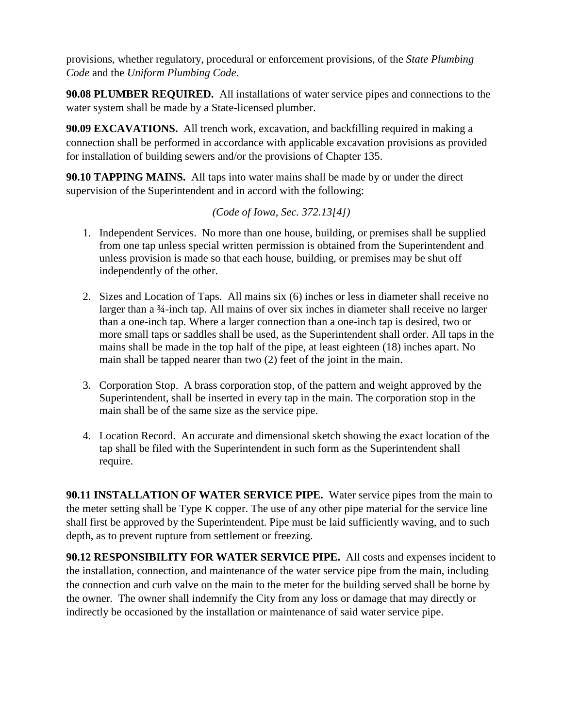provisions, whether regulatory, procedural or enforcement provisions, of the *State Plumbing Code* and the *Uniform Plumbing Code*.

**90.08 PLUMBER REQUIRED.** All installations of water service pipes and connections to the water system shall be made by a State-licensed plumber.

**90.09 EXCAVATIONS.** All trench work, excavation, and backfilling required in making a connection shall be performed in accordance with applicable excavation provisions as provided for installation of building sewers and/or the provisions of Chapter 135.

**90.10 TAPPING MAINS.** All taps into water mains shall be made by or under the direct supervision of the Superintendent and in accord with the following:

## *(Code of Iowa, Sec. 372.13[4])*

- 1. Independent Services. No more than one house, building, or premises shall be supplied from one tap unless special written permission is obtained from the Superintendent and unless provision is made so that each house, building, or premises may be shut off independently of the other.
- 2. Sizes and Location of Taps. All mains six (6) inches or less in diameter shall receive no larger than a 3<sup>4</sup>-inch tap. All mains of over six inches in diameter shall receive no larger than a one-inch tap. Where a larger connection than a one-inch tap is desired, two or more small taps or saddles shall be used, as the Superintendent shall order. All taps in the mains shall be made in the top half of the pipe, at least eighteen (18) inches apart. No main shall be tapped nearer than two (2) feet of the joint in the main.
- 3. Corporation Stop. A brass corporation stop, of the pattern and weight approved by the Superintendent, shall be inserted in every tap in the main. The corporation stop in the main shall be of the same size as the service pipe.
- 4. Location Record. An accurate and dimensional sketch showing the exact location of the tap shall be filed with the Superintendent in such form as the Superintendent shall require.

**90.11 INSTALLATION OF WATER SERVICE PIPE.** Water service pipes from the main to the meter setting shall be Type K copper. The use of any other pipe material for the service line shall first be approved by the Superintendent. Pipe must be laid sufficiently waving, and to such depth, as to prevent rupture from settlement or freezing.

**90.12 RESPONSIBILITY FOR WATER SERVICE PIPE.** All costs and expenses incident to the installation, connection, and maintenance of the water service pipe from the main, including the connection and curb valve on the main to the meter for the building served shall be borne by the owner. The owner shall indemnify the City from any loss or damage that may directly or indirectly be occasioned by the installation or maintenance of said water service pipe.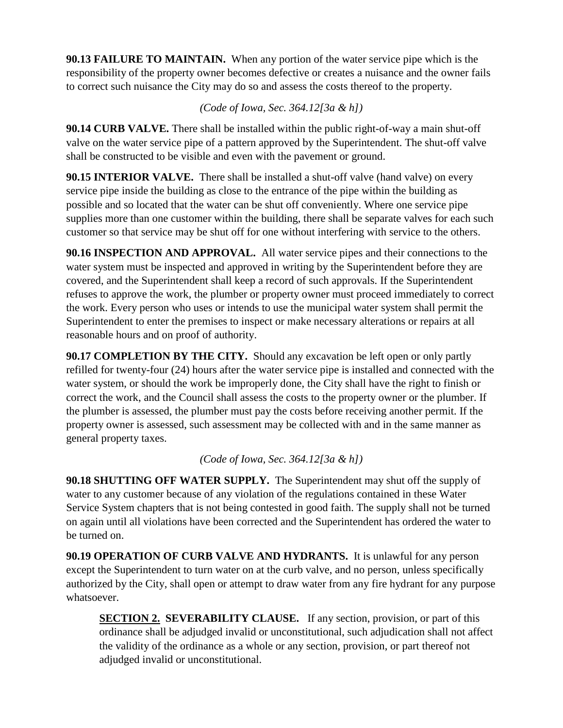**90.13 FAILURE TO MAINTAIN.** When any portion of the water service pipe which is the responsibility of the property owner becomes defective or creates a nuisance and the owner fails to correct such nuisance the City may do so and assess the costs thereof to the property.

*(Code of Iowa, Sec. 364.12[3a & h])*

**90.14 CURB VALVE.** There shall be installed within the public right-of-way a main shut-off valve on the water service pipe of a pattern approved by the Superintendent. The shut-off valve shall be constructed to be visible and even with the pavement or ground.

**90.15 INTERIOR VALVE.** There shall be installed a shut-off valve (hand valve) on every service pipe inside the building as close to the entrance of the pipe within the building as possible and so located that the water can be shut off conveniently. Where one service pipe supplies more than one customer within the building, there shall be separate valves for each such customer so that service may be shut off for one without interfering with service to the others.

**90.16 INSPECTION AND APPROVAL.** All water service pipes and their connections to the water system must be inspected and approved in writing by the Superintendent before they are covered, and the Superintendent shall keep a record of such approvals. If the Superintendent refuses to approve the work, the plumber or property owner must proceed immediately to correct the work. Every person who uses or intends to use the municipal water system shall permit the Superintendent to enter the premises to inspect or make necessary alterations or repairs at all reasonable hours and on proof of authority.

**90.17 COMPLETION BY THE CITY.** Should any excavation be left open or only partly refilled for twenty-four (24) hours after the water service pipe is installed and connected with the water system, or should the work be improperly done, the City shall have the right to finish or correct the work, and the Council shall assess the costs to the property owner or the plumber. If the plumber is assessed, the plumber must pay the costs before receiving another permit. If the property owner is assessed, such assessment may be collected with and in the same manner as general property taxes.

*(Code of Iowa, Sec. 364.12[3a & h])*

**90.18 SHUTTING OFF WATER SUPPLY.** The Superintendent may shut off the supply of water to any customer because of any violation of the regulations contained in these Water Service System chapters that is not being contested in good faith. The supply shall not be turned on again until all violations have been corrected and the Superintendent has ordered the water to be turned on.

**90.19 OPERATION OF CURB VALVE AND HYDRANTS.** It is unlawful for any person except the Superintendent to turn water on at the curb valve, and no person, unless specifically authorized by the City, shall open or attempt to draw water from any fire hydrant for any purpose whatsoever.

**SECTION 2. SEVERABILITY CLAUSE.** If any section, provision, or part of this ordinance shall be adjudged invalid or unconstitutional, such adjudication shall not affect the validity of the ordinance as a whole or any section, provision, or part thereof not adjudged invalid or unconstitutional.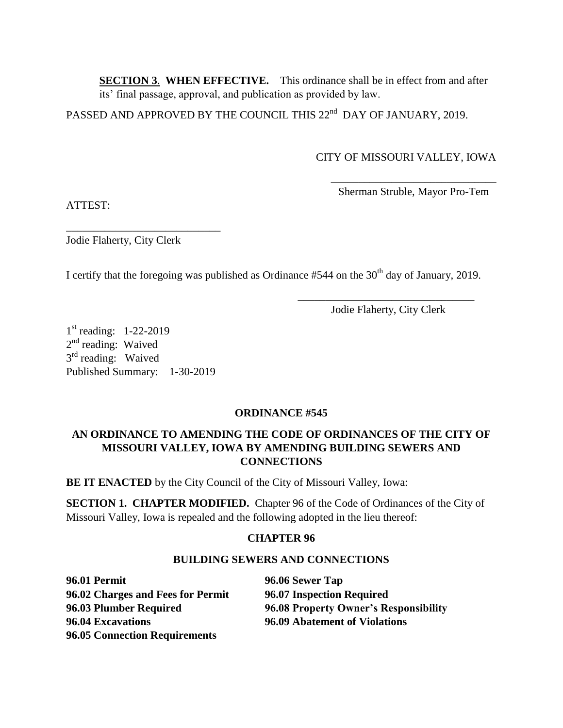**SECTION 3**. **WHEN EFFECTIVE.** This ordinance shall be in effect from and after its' final passage, approval, and publication as provided by law.

 $\overline{\phantom{a}}$  , and the contract of the contract of the contract of the contract of the contract of the contract of the contract of the contract of the contract of the contract of the contract of the contract of the contrac

PASSED AND APPROVED BY THE COUNCIL THIS 22<sup>nd</sup> DAY OF JANUARY, 2019.

## CITY OF MISSOURI VALLEY, IOWA

Sherman Struble, Mayor Pro-Tem

ATTEST:

\_\_\_\_\_\_\_\_\_\_\_\_\_\_\_\_\_\_\_\_\_\_\_\_\_\_\_\_ Jodie Flaherty, City Clerk

I certify that the foregoing was published as Ordinance  $#544$  on the  $30<sup>th</sup>$  day of January, 2019.

\_\_\_\_\_\_\_\_\_\_\_\_\_\_\_\_\_\_\_\_\_\_\_\_\_\_\_\_\_\_\_\_ Jodie Flaherty, City Clerk

1<sup>st</sup> reading: 1-22-2019 2<sup>nd</sup> reading: Waived 3<sup>rd</sup> reading: Waived Published Summary: 1-30-2019

## **ORDINANCE #545**

## **AN ORDINANCE TO AMENDING THE CODE OF ORDINANCES OF THE CITY OF MISSOURI VALLEY, IOWA BY AMENDING BUILDING SEWERS AND CONNECTIONS**

**BE IT ENACTED** by the City Council of the City of Missouri Valley, Iowa:

**SECTION 1. CHAPTER MODIFIED.** Chapter 96 of the Code of Ordinances of the City of Missouri Valley, Iowa is repealed and the following adopted in the lieu thereof:

## **CHAPTER 96**

## **BUILDING SEWERS AND CONNECTIONS**

**96.01 Permit 96.06 Sewer Tap 96.02 Charges and Fees for Permit 96.07 Inspection Required 96.04 Excavations 96.09 Abatement of Violations 96.05 Connection Requirements**

**96.03 Plumber Required 96.08 Property Owner's Responsibility**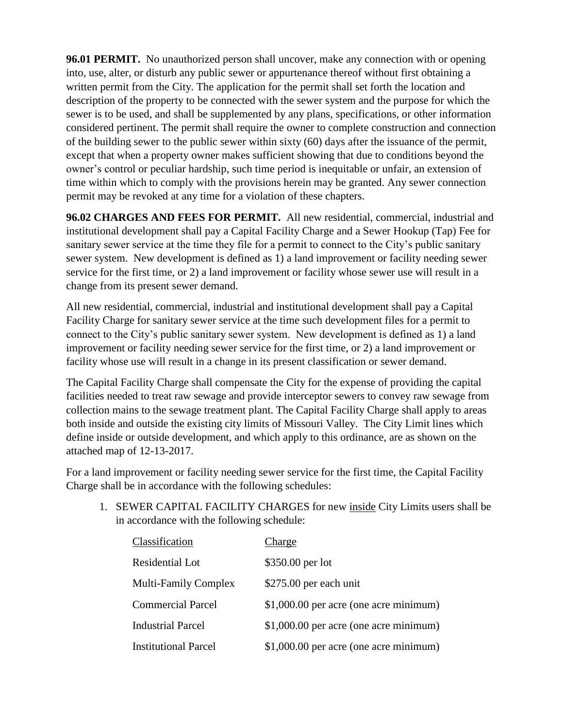**96.01 PERMIT.** No unauthorized person shall uncover, make any connection with or opening into, use, alter, or disturb any public sewer or appurtenance thereof without first obtaining a written permit from the City. The application for the permit shall set forth the location and description of the property to be connected with the sewer system and the purpose for which the sewer is to be used, and shall be supplemented by any plans, specifications, or other information considered pertinent. The permit shall require the owner to complete construction and connection of the building sewer to the public sewer within sixty (60) days after the issuance of the permit, except that when a property owner makes sufficient showing that due to conditions beyond the owner's control or peculiar hardship, such time period is inequitable or unfair, an extension of time within which to comply with the provisions herein may be granted. Any sewer connection permit may be revoked at any time for a violation of these chapters.

**96.02 CHARGES AND FEES FOR PERMIT.** All new residential, commercial, industrial and institutional development shall pay a Capital Facility Charge and a Sewer Hookup (Tap) Fee for sanitary sewer service at the time they file for a permit to connect to the City's public sanitary sewer system. New development is defined as 1) a land improvement or facility needing sewer service for the first time, or 2) a land improvement or facility whose sewer use will result in a change from its present sewer demand.

All new residential, commercial, industrial and institutional development shall pay a Capital Facility Charge for sanitary sewer service at the time such development files for a permit to connect to the City's public sanitary sewer system. New development is defined as 1) a land improvement or facility needing sewer service for the first time, or 2) a land improvement or facility whose use will result in a change in its present classification or sewer demand.

The Capital Facility Charge shall compensate the City for the expense of providing the capital facilities needed to treat raw sewage and provide interceptor sewers to convey raw sewage from collection mains to the sewage treatment plant. The Capital Facility Charge shall apply to areas both inside and outside the existing city limits of Missouri Valley. The City Limit lines which define inside or outside development, and which apply to this ordinance, are as shown on the attached map of 12-13-2017.

For a land improvement or facility needing sewer service for the first time, the Capital Facility Charge shall be in accordance with the following schedules:

1. SEWER CAPITAL FACILITY CHARGES for new inside City Limits users shall be in accordance with the following schedule:

| Classification              | Charge                                 |
|-----------------------------|----------------------------------------|
| Residential Lot             | \$350.00 per lot                       |
| <b>Multi-Family Complex</b> | \$275.00 per each unit                 |
| <b>Commercial Parcel</b>    | \$1,000.00 per acre (one acre minimum) |
| <b>Industrial Parcel</b>    | \$1,000.00 per acre (one acre minimum) |
| <b>Institutional Parcel</b> | \$1,000.00 per acre (one acre minimum) |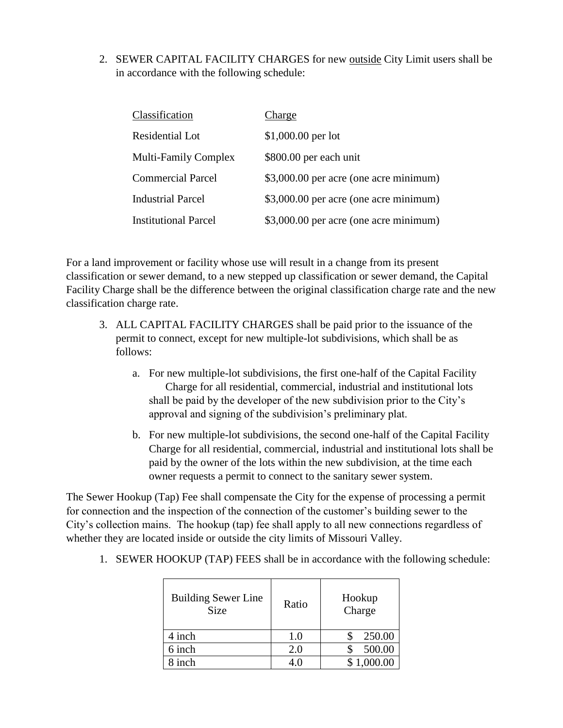2. SEWER CAPITAL FACILITY CHARGES for new outside City Limit users shall be in accordance with the following schedule:

| Charge                                 |
|----------------------------------------|
| $$1,000.00$ per lot                    |
| \$800.00 per each unit                 |
| \$3,000.00 per acre (one acre minimum) |
| \$3,000.00 per acre (one acre minimum) |
| \$3,000.00 per acre (one acre minimum) |
|                                        |

For a land improvement or facility whose use will result in a change from its present classification or sewer demand, to a new stepped up classification or sewer demand, the Capital Facility Charge shall be the difference between the original classification charge rate and the new classification charge rate.

- 3. ALL CAPITAL FACILITY CHARGES shall be paid prior to the issuance of the permit to connect, except for new multiple-lot subdivisions, which shall be as follows:
	- a. For new multiple-lot subdivisions, the first one-half of the Capital Facility Charge for all residential, commercial, industrial and institutional lots shall be paid by the developer of the new subdivision prior to the City's approval and signing of the subdivision's preliminary plat.
	- b. For new multiple-lot subdivisions, the second one-half of the Capital Facility Charge for all residential, commercial, industrial and institutional lots shall be paid by the owner of the lots within the new subdivision, at the time each owner requests a permit to connect to the sanitary sewer system.

The Sewer Hookup (Tap) Fee shall compensate the City for the expense of processing a permit for connection and the inspection of the connection of the customer's building sewer to the City's collection mains. The hookup (tap) fee shall apply to all new connections regardless of whether they are located inside or outside the city limits of Missouri Valley.

| <b>Building Sewer Line</b><br><b>Size</b> | Ratio | Hookup<br>Charge |
|-------------------------------------------|-------|------------------|
| 4 inch                                    | 1.0   | 250.00           |
| 6 inch                                    | 2.0   | 500.00           |
| 8 inch                                    |       | \$1.000.00       |

1. SEWER HOOKUP (TAP) FEES shall be in accordance with the following schedule: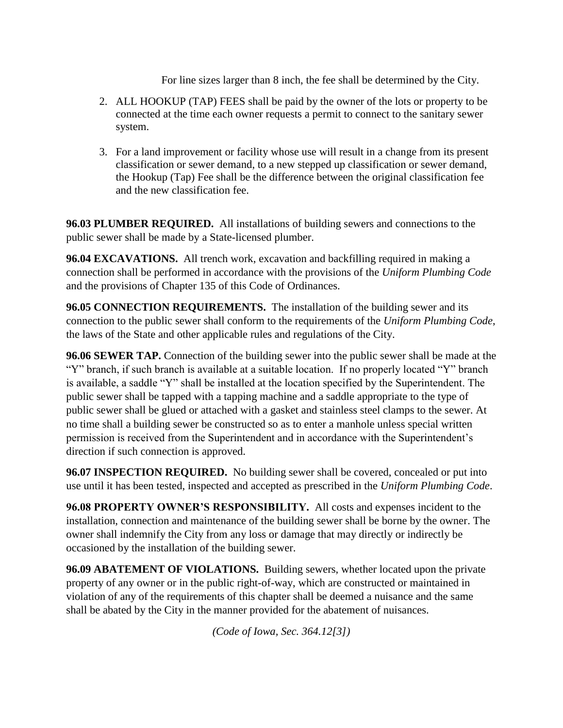For line sizes larger than 8 inch, the fee shall be determined by the City.

- 2. ALL HOOKUP (TAP) FEES shall be paid by the owner of the lots or property to be connected at the time each owner requests a permit to connect to the sanitary sewer system.
- 3. For a land improvement or facility whose use will result in a change from its present classification or sewer demand, to a new stepped up classification or sewer demand, the Hookup (Tap) Fee shall be the difference between the original classification fee and the new classification fee.

**96.03 PLUMBER REQUIRED.** All installations of building sewers and connections to the public sewer shall be made by a State-licensed plumber.

**96.04 EXCAVATIONS.** All trench work, excavation and backfilling required in making a connection shall be performed in accordance with the provisions of the *Uniform Plumbing Code*  and the provisions of Chapter 135 of this Code of Ordinances.

**96.05 CONNECTION REQUIREMENTS.** The installation of the building sewer and its connection to the public sewer shall conform to the requirements of the *Uniform Plumbing Code*, the laws of the State and other applicable rules and regulations of the City.

**96.06 SEWER TAP.** Connection of the building sewer into the public sewer shall be made at the "Y" branch, if such branch is available at a suitable location. If no properly located "Y" branch is available, a saddle "Y" shall be installed at the location specified by the Superintendent. The public sewer shall be tapped with a tapping machine and a saddle appropriate to the type of public sewer shall be glued or attached with a gasket and stainless steel clamps to the sewer. At no time shall a building sewer be constructed so as to enter a manhole unless special written permission is received from the Superintendent and in accordance with the Superintendent's direction if such connection is approved.

**96.07 INSPECTION REQUIRED.** No building sewer shall be covered, concealed or put into use until it has been tested, inspected and accepted as prescribed in the *Uniform Plumbing Code*.

**96.08 PROPERTY OWNER'S RESPONSIBILITY.** All costs and expenses incident to the installation, connection and maintenance of the building sewer shall be borne by the owner. The owner shall indemnify the City from any loss or damage that may directly or indirectly be occasioned by the installation of the building sewer.

**96.09 ABATEMENT OF VIOLATIONS.** Building sewers, whether located upon the private property of any owner or in the public right-of-way, which are constructed or maintained in violation of any of the requirements of this chapter shall be deemed a nuisance and the same shall be abated by the City in the manner provided for the abatement of nuisances.

*(Code of Iowa, Sec. 364.12[3])*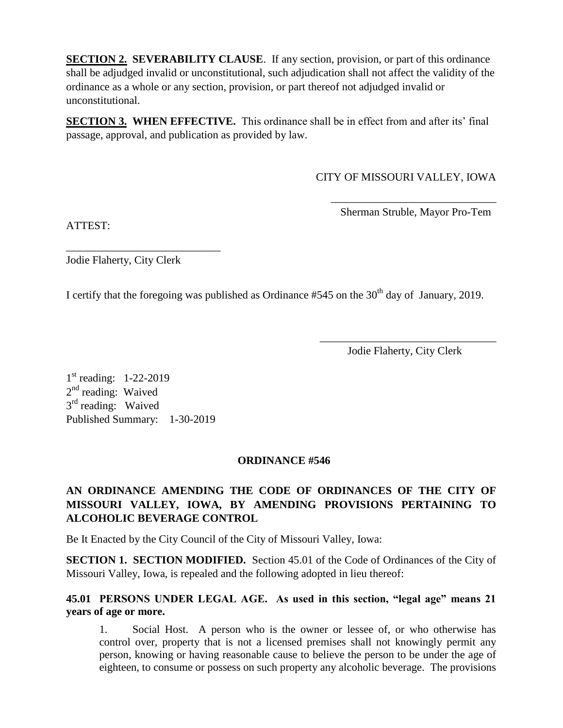**SECTION 2. SEVERABILITY CLAUSE**. If any section, provision, or part of this ordinance shall be adjudged invalid or unconstitutional, such adjudication shall not affect the validity of the ordinance as a whole or any section, provision, or part thereof not adjudged invalid or unconstitutional.

**SECTION 3. WHEN EFFECTIVE.** This ordinance shall be in effect from and after its' final passage, approval, and publication as provided by law.

CITY OF MISSOURI VALLEY, IOWA

\_\_\_\_\_\_\_\_\_\_\_\_\_\_\_\_\_\_\_\_\_\_\_\_\_\_\_\_\_\_ Sherman Struble, Mayor Pro-Tem

ATTEST:

Jodie Flaherty, City Clerk

\_\_\_\_\_\_\_\_\_\_\_\_\_\_\_\_\_\_\_\_\_\_\_\_\_\_\_\_

I certify that the foregoing was published as Ordinance  $#545$  on the  $30<sup>th</sup>$  day of January, 2019.

\_\_\_\_\_\_\_\_\_\_\_\_\_\_\_\_\_\_\_\_\_\_\_\_\_\_\_\_\_\_\_\_ Jodie Flaherty, City Clerk

1<sup>st</sup> reading: 1-22-2019 2<sup>nd</sup> reading: Waived 3<sup>rd</sup> reading: Waived Published Summary: 1-30-2019

# **ORDINANCE #546**

# **AN ORDINANCE AMENDING THE CODE OF ORDINANCES OF THE CITY OF MISSOURI VALLEY, IOWA, BY AMENDING PROVISIONS PERTAINING TO ALCOHOLIC BEVERAGE CONTROL**

Be It Enacted by the City Council of the City of Missouri Valley, Iowa:

**SECTION 1. SECTION MODIFIED.** Section 45.01 of the Code of Ordinances of the City of Missouri Valley, Iowa, is repealed and the following adopted in lieu thereof:

## **45.01 PERSONS UNDER LEGAL AGE. As used in this section, "legal age" means 21 years of age or more.**

1. Social Host. A person who is the owner or lessee of, or who otherwise has control over, property that is not a licensed premises shall not knowingly permit any person, knowing or having reasonable cause to believe the person to be under the age of eighteen, to consume or possess on such property any alcoholic beverage. The provisions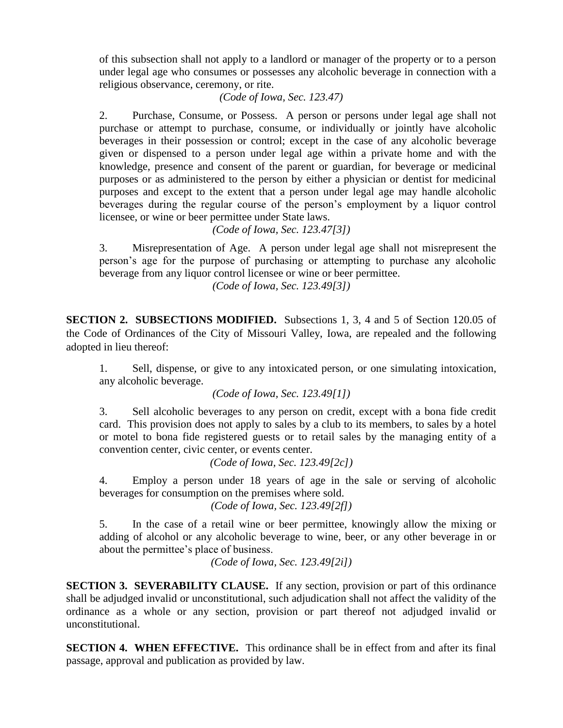of this subsection shall not apply to a landlord or manager of the property or to a person under legal age who consumes or possesses any alcoholic beverage in connection with a religious observance, ceremony, or rite.

*(Code of Iowa, Sec. 123.47)*

2. Purchase, Consume, or Possess. A person or persons under legal age shall not purchase or attempt to purchase, consume, or individually or jointly have alcoholic beverages in their possession or control; except in the case of any alcoholic beverage given or dispensed to a person under legal age within a private home and with the knowledge, presence and consent of the parent or guardian, for beverage or medicinal purposes or as administered to the person by either a physician or dentist for medicinal purposes and except to the extent that a person under legal age may handle alcoholic beverages during the regular course of the person's employment by a liquor control licensee, or wine or beer permittee under State laws.

*(Code of Iowa, Sec. 123.47[3])*

3. Misrepresentation of Age. A person under legal age shall not misrepresent the person's age for the purpose of purchasing or attempting to purchase any alcoholic beverage from any liquor control licensee or wine or beer permittee.

*(Code of Iowa, Sec. 123.49[3])*

**SECTION 2. SUBSECTIONS MODIFIED.** Subsections 1, 3, 4 and 5 of Section 120.05 of the Code of Ordinances of the City of Missouri Valley, Iowa, are repealed and the following adopted in lieu thereof:

1. Sell, dispense, or give to any intoxicated person, or one simulating intoxication, any alcoholic beverage.

*(Code of Iowa, Sec. 123.49[1])*

3. Sell alcoholic beverages to any person on credit, except with a bona fide credit card. This provision does not apply to sales by a club to its members, to sales by a hotel or motel to bona fide registered guests or to retail sales by the managing entity of a convention center, civic center, or events center.

*(Code of Iowa, Sec. 123.49[2c])*

4. Employ a person under 18 years of age in the sale or serving of alcoholic beverages for consumption on the premises where sold.

*(Code of Iowa, Sec. 123.49[2f])*

5. In the case of a retail wine or beer permittee, knowingly allow the mixing or adding of alcohol or any alcoholic beverage to wine, beer, or any other beverage in or about the permittee's place of business.

*(Code of Iowa, Sec. 123.49[2i])*

**SECTION 3. SEVERABILITY CLAUSE.** If any section, provision or part of this ordinance shall be adjudged invalid or unconstitutional, such adjudication shall not affect the validity of the ordinance as a whole or any section, provision or part thereof not adjudged invalid or unconstitutional.

**SECTION 4. WHEN EFFECTIVE.** This ordinance shall be in effect from and after its final passage, approval and publication as provided by law.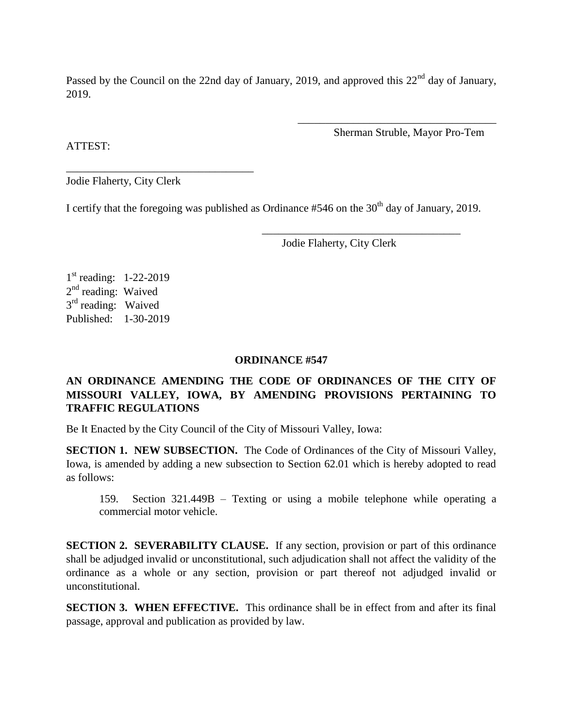Passed by the Council on the 22nd day of January, 2019, and approved this 22<sup>nd</sup> day of January. 2019.

Sherman Struble, Mayor Pro-Tem

\_\_\_\_\_\_\_\_\_\_\_\_\_\_\_\_\_\_\_\_\_\_\_\_\_\_\_\_\_\_\_\_\_\_\_\_

ATTEST:

Jodie Flaherty, City Clerk

\_\_\_\_\_\_\_\_\_\_\_\_\_\_\_\_\_\_\_\_\_\_\_\_\_\_\_\_\_\_\_\_\_\_

I certify that the foregoing was published as Ordinance  $#546$  on the  $30<sup>th</sup>$  day of January, 2019.

Jodie Flaherty, City Clerk

 $\overline{\phantom{a}}$  ,  $\overline{\phantom{a}}$  ,  $\overline{\phantom{a}}$  ,  $\overline{\phantom{a}}$  ,  $\overline{\phantom{a}}$  ,  $\overline{\phantom{a}}$  ,  $\overline{\phantom{a}}$  ,  $\overline{\phantom{a}}$  ,  $\overline{\phantom{a}}$  ,  $\overline{\phantom{a}}$  ,  $\overline{\phantom{a}}$  ,  $\overline{\phantom{a}}$  ,  $\overline{\phantom{a}}$  ,  $\overline{\phantom{a}}$  ,  $\overline{\phantom{a}}$  ,  $\overline{\phantom{a}}$ 

1<sup>st</sup> reading: 1-22-2019 2<sup>nd</sup> reading: Waived 3<sup>rd</sup> reading: Waived Published: 1-30-2019

### **ORDINANCE #547**

# **AN ORDINANCE AMENDING THE CODE OF ORDINANCES OF THE CITY OF MISSOURI VALLEY, IOWA, BY AMENDING PROVISIONS PERTAINING TO TRAFFIC REGULATIONS**

Be It Enacted by the City Council of the City of Missouri Valley, Iowa:

**SECTION 1. NEW SUBSECTION.** The Code of Ordinances of the City of Missouri Valley, Iowa, is amended by adding a new subsection to Section 62.01 which is hereby adopted to read as follows:

159. Section 321.449B – Texting or using a mobile telephone while operating a commercial motor vehicle.

**SECTION 2. SEVERABILITY CLAUSE.** If any section, provision or part of this ordinance shall be adjudged invalid or unconstitutional, such adjudication shall not affect the validity of the ordinance as a whole or any section, provision or part thereof not adjudged invalid or unconstitutional.

**SECTION 3. WHEN EFFECTIVE.** This ordinance shall be in effect from and after its final passage, approval and publication as provided by law.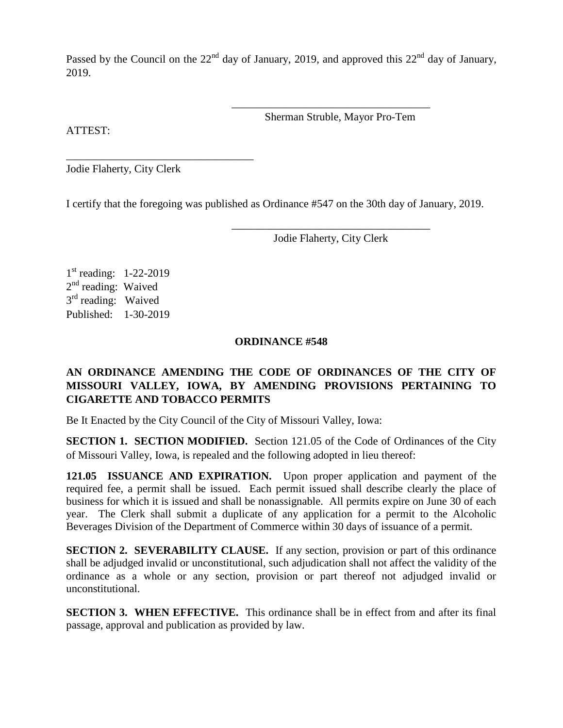Passed by the Council on the  $22<sup>nd</sup>$  day of January, 2019, and approved this  $22<sup>nd</sup>$  day of January, 2019.

ATTEST:

Sherman Struble, Mayor Pro-Tem

\_\_\_\_\_\_\_\_\_\_\_\_\_\_\_\_\_\_\_\_\_\_\_\_\_\_\_\_\_\_\_\_\_\_\_\_

Jodie Flaherty, City Clerk

\_\_\_\_\_\_\_\_\_\_\_\_\_\_\_\_\_\_\_\_\_\_\_\_\_\_\_\_\_\_\_\_\_\_

I certify that the foregoing was published as Ordinance #547 on the 30th day of January, 2019.

\_\_\_\_\_\_\_\_\_\_\_\_\_\_\_\_\_\_\_\_\_\_\_\_\_\_\_\_\_\_\_\_\_\_\_\_ Jodie Flaherty, City Clerk

1<sup>st</sup> reading: 1-22-2019 2<sup>nd</sup> reading: Waived 3<sup>rd</sup> reading: Waived Published: 1-30-2019

#### **ORDINANCE #548**

# **AN ORDINANCE AMENDING THE CODE OF ORDINANCES OF THE CITY OF MISSOURI VALLEY, IOWA, BY AMENDING PROVISIONS PERTAINING TO CIGARETTE AND TOBACCO PERMITS**

Be It Enacted by the City Council of the City of Missouri Valley, Iowa:

**SECTION 1. SECTION MODIFIED.** Section 121.05 of the Code of Ordinances of the City of Missouri Valley, Iowa, is repealed and the following adopted in lieu thereof:

**121.05 ISSUANCE AND EXPIRATION.** Upon proper application and payment of the required fee, a permit shall be issued. Each permit issued shall describe clearly the place of business for which it is issued and shall be nonassignable. All permits expire on June 30 of each year. The Clerk shall submit a duplicate of any application for a permit to the Alcoholic Beverages Division of the Department of Commerce within 30 days of issuance of a permit.

**SECTION 2. SEVERABILITY CLAUSE.** If any section, provision or part of this ordinance shall be adjudged invalid or unconstitutional, such adjudication shall not affect the validity of the ordinance as a whole or any section, provision or part thereof not adjudged invalid or unconstitutional.

**SECTION 3. WHEN EFFECTIVE.** This ordinance shall be in effect from and after its final passage, approval and publication as provided by law.